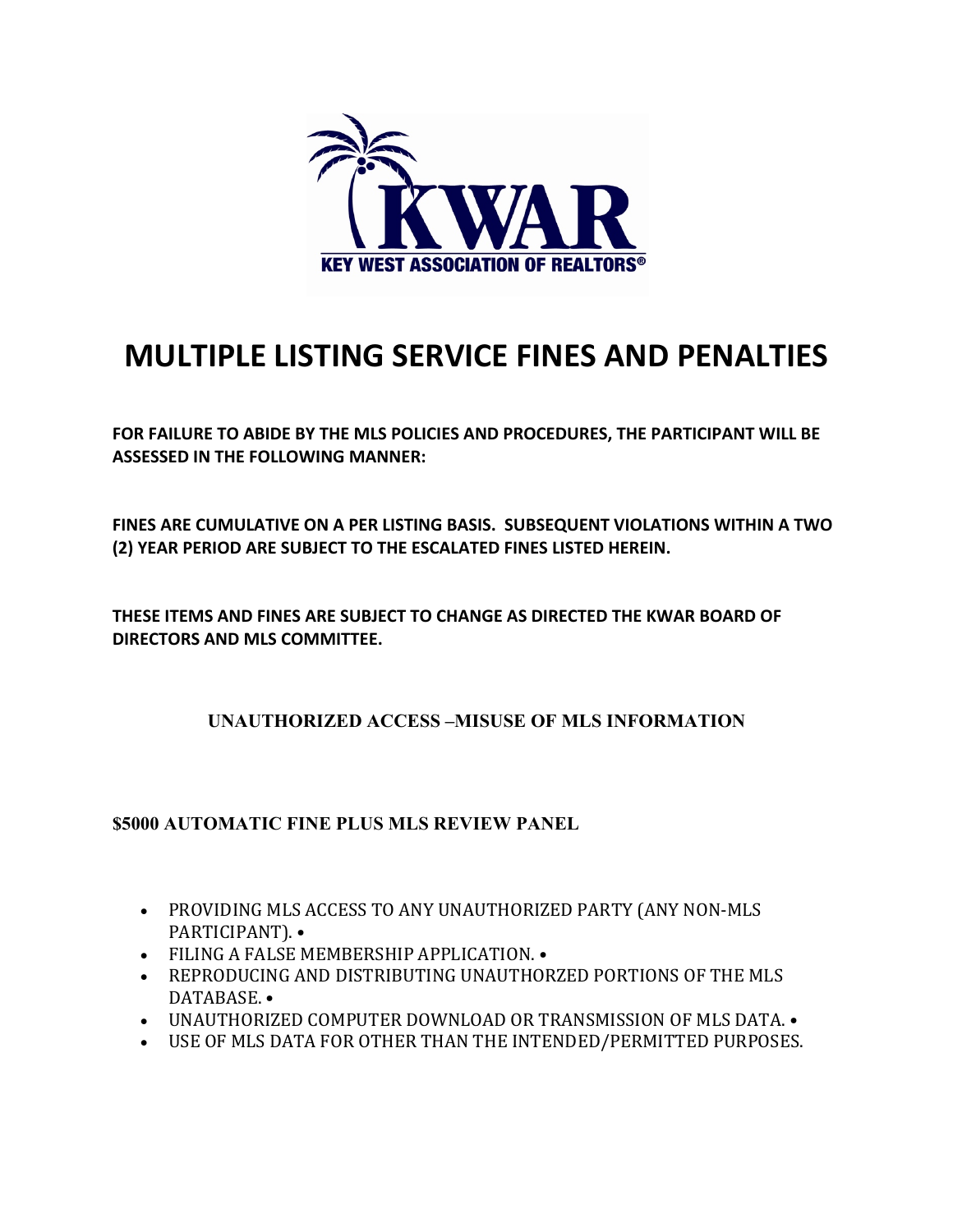

# **MULTIPLE LISTING SERVICE FINES AND PENALTIES**

**FOR FAILURE TO ABIDE BY THE MLS POLICIES AND PROCEDURES, THE PARTICIPANT WILL BE ASSESSED IN THE FOLLOWING MANNER:**

**FINES ARE CUMULATIVE ON A PER LISTING BASIS. SUBSEQUENT VIOLATIONS WITHIN A TWO (2) YEAR PERIOD ARE SUBJECT TO THE ESCALATED FINES LISTED HEREIN.**

**THESE ITEMS AND FINES ARE SUBJECT TO CHANGE AS DIRECTED THE KWAR BOARD OF DIRECTORS AND MLS COMMITTEE.**

**UNAUTHORIZED ACCESS –MISUSE OF MLS INFORMATION**

**\$5000 AUTOMATIC FINE PLUS MLS REVIEW PANEL** 

- PROVIDING MLS ACCESS TO ANY UNAUTHORIZED PARTY (ANY NON-MLS PARTICIPANT). •
- FILING A FALSE MEMBERSHIP APPLICATION. •
- REPRODUCING AND DISTRIBUTING UNAUTHORZED PORTIONS OF THE MLS DATABASE. •
- UNAUTHORIZED COMPUTER DOWNLOAD OR TRANSMISSION OF MLS DATA. •
- USE OF MLS DATA FOR OTHER THAN THE INTENDED/PERMITTED PURPOSES.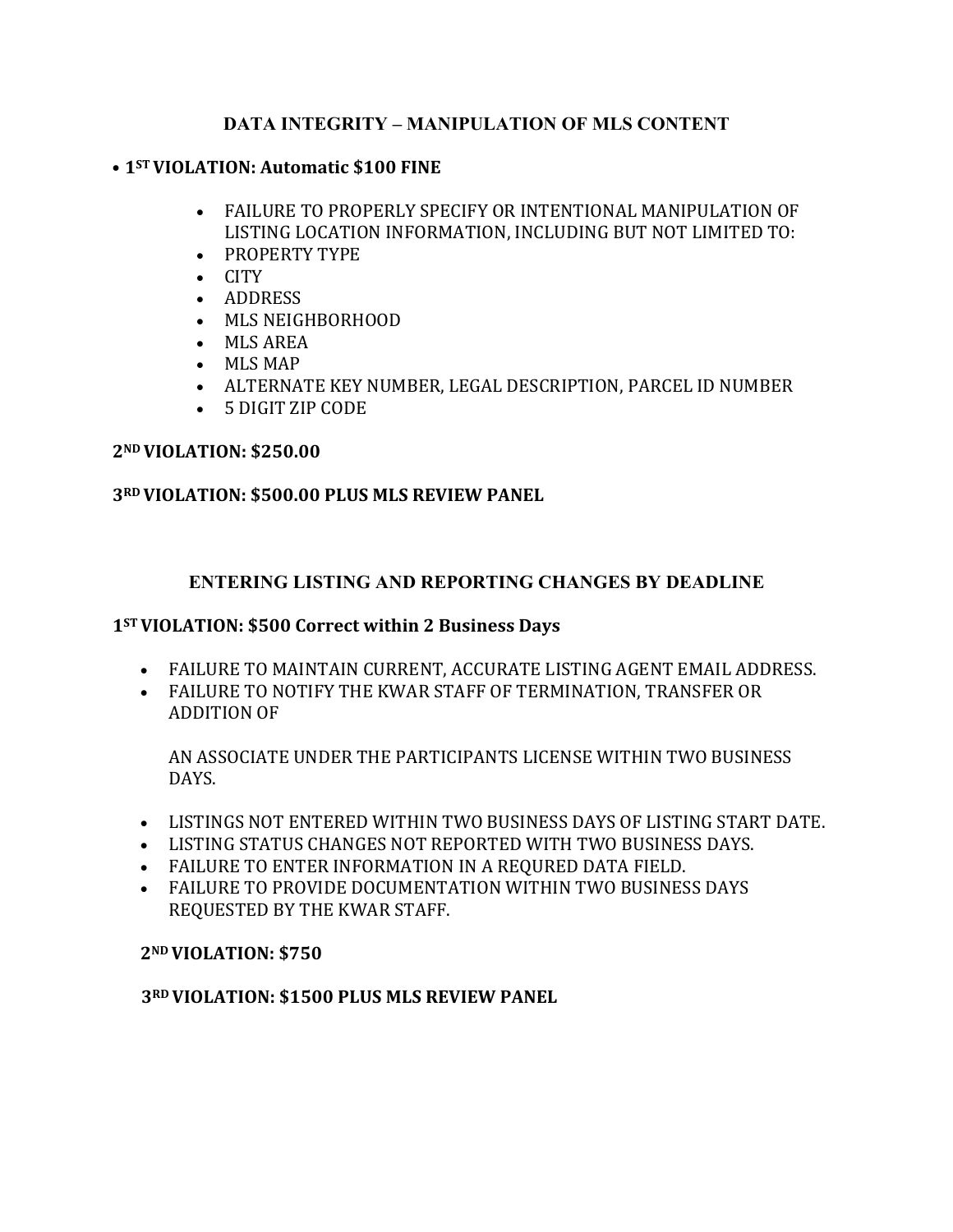## **DATA INTEGRITY – MANIPULATION OF MLS CONTENT**

#### • 1<sup>ST</sup> VIOLATION: Automatic \$100 FINE

- FAILURE TO PROPERLY SPECIFY OR INTENTIONAL MANIPULATION OF LISTING LOCATION INFORMATION, INCLUDING BUT NOT LIMITED TO:
- PROPERTY TYPE
- CITY
- ADDRESS
- MLS NEIGHBORHOOD
- MLS AREA
- MLS MAP
- ALTERNATE KEY NUMBER, LEGAL DESCRIPTION, PARCEL ID NUMBER
- 5 DIGIT ZIP CODE

#### **2ND VIOLATION: \$250.00**

### **3RD VIOLATION: \$500.00 PLUS MLS REVIEW PANEL**

## **ENTERING LISTING AND REPORTING CHANGES BY DEADLINE**

#### 1<sup>ST</sup> VIOLATION: \$500 Correct within 2 Business Days

- FAILURE TO MAINTAIN CURRENT, ACCURATE LISTING AGENT EMAIL ADDRESS.
- FAILURE TO NOTIFY THE KWAR STAFF OF TERMINATION, TRANSFER OR ADDITION OF

AN ASSOCIATE UNDER THE PARTICIPANTS LICENSE WITHIN TWO BUSINESS DAYS. 

- LISTINGS NOT ENTERED WITHIN TWO BUSINESS DAYS OF LISTING START DATE.
- LISTING STATUS CHANGES NOT REPORTED WITH TWO BUSINESS DAYS.
- FAILURE TO ENTER INFORMATION IN A REOURED DATA FIELD.
- FAILURE TO PROVIDE DOCUMENTATION WITHIN TWO BUSINESS DAYS REQUESTED BY THE KWAR STAFF.

### **2ND VIOLATION: \$750**

### **3RD VIOLATION: \$1500 PLUS MLS REVIEW PANEL**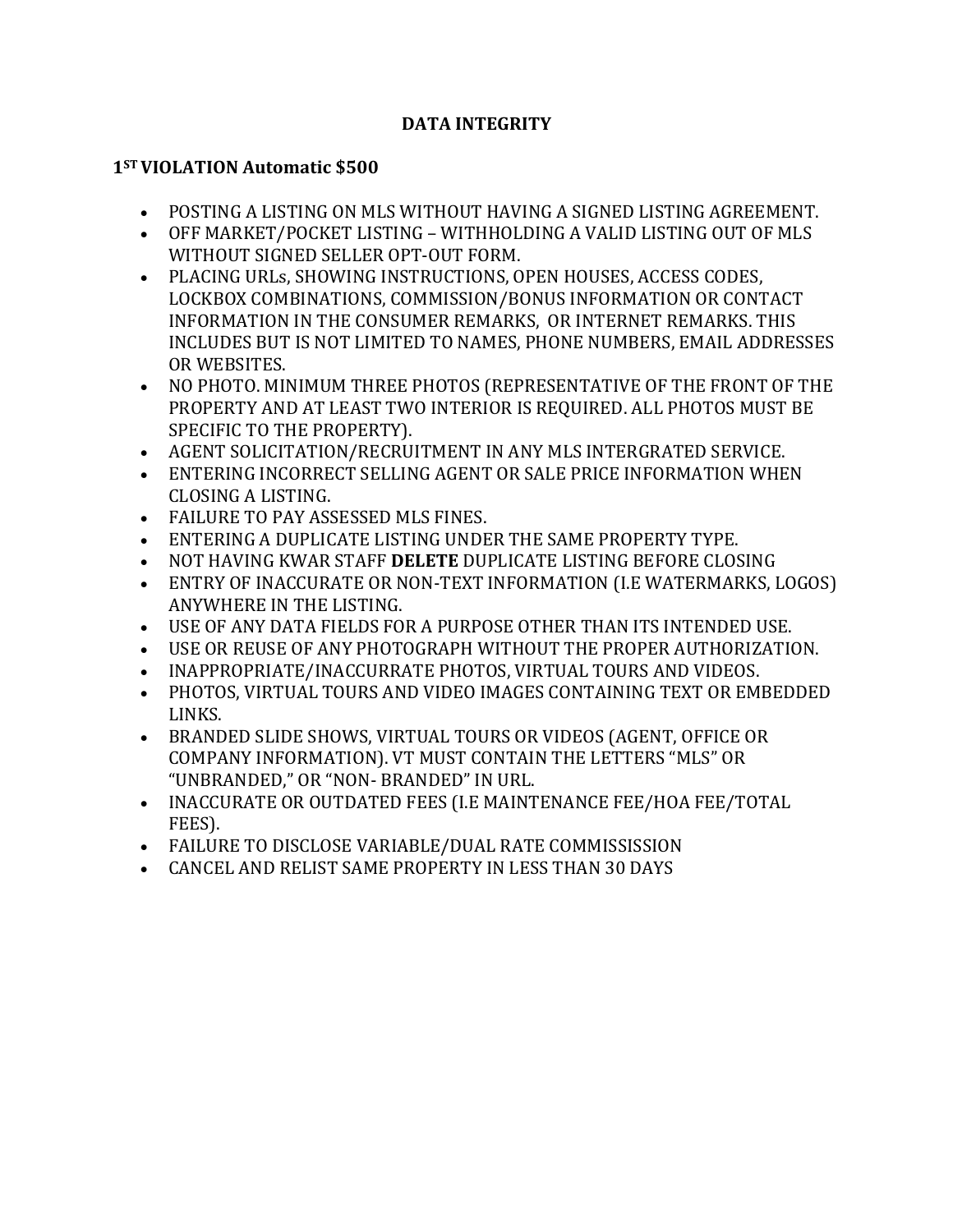## **DATA INTEGRITY**

## **1ST VIOLATION Automatic \$500**

- POSTING A LISTING ON MLS WITHOUT HAVING A SIGNED LISTING AGREEMENT.
- OFF MARKET/POCKET LISTING WITHHOLDING A VALID LISTING OUT OF MLS WITHOUT SIGNED SELLER OPT-OUT FORM.
- PLACING URLs, SHOWING INSTRUCTIONS, OPEN HOUSES, ACCESS CODES, LOCKBOX COMBINATIONS, COMMISSION/BONUS INFORMATION OR CONTACT INFORMATION IN THE CONSUMER REMARKS, OR INTERNET REMARKS. THIS INCLUDES BUT IS NOT LIMITED TO NAMES, PHONE NUMBERS, EMAIL ADDRESSES OR WEBSITES.
- NO PHOTO. MINIMUM THREE PHOTOS (REPRESENTATIVE OF THE FRONT OF THE PROPERTY AND AT LEAST TWO INTERIOR IS REQUIRED. ALL PHOTOS MUST BE SPECIFIC TO THE PROPERTY).
- AGENT SOLICITATION/RECRUITMENT IN ANY MLS INTERGRATED SERVICE.
- ENTERING INCORRECT SELLING AGENT OR SALE PRICE INFORMATION WHEN CLOSING A LISTING.
- FAILURE TO PAY ASSESSED MLS FINES.
- ENTERING A DUPLICATE LISTING UNDER THE SAME PROPERTY TYPE.
- NOT HAVING KWAR STAFF **DELETE** DUPLICATE LISTING BEFORE CLOSING
- ENTRY OF INACCURATE OR NON-TEXT INFORMATION (I.E WATERMARKS, LOGOS) ANYWHERE IN THE LISTING.
- USE OF ANY DATA FIELDS FOR A PURPOSE OTHER THAN ITS INTENDED USE.
- USE OR REUSE OF ANY PHOTOGRAPH WITHOUT THE PROPER AUTHORIZATION.
- INAPPROPRIATE/INACCURRATE PHOTOS, VIRTUAL TOURS AND VIDEOS.
- PHOTOS, VIRTUAL TOURS AND VIDEO IMAGES CONTAINING TEXT OR EMBEDDED LINKS.
- BRANDED SLIDE SHOWS, VIRTUAL TOURS OR VIDEOS (AGENT, OFFICE OR COMPANY INFORMATION). VT MUST CONTAIN THE LETTERS "MLS" OR "UNBRANDED," OR "NON- BRANDED" IN URL.
- INACCURATE OR OUTDATED FEES (I.E MAINTENANCE FEE/HOA FEE/TOTAL FEES).
- FAILURE TO DISCLOSE VARIABLE/DUAL RATE COMMISSISSION
- CANCEL AND RELIST SAME PROPERTY IN LESS THAN 30 DAYS